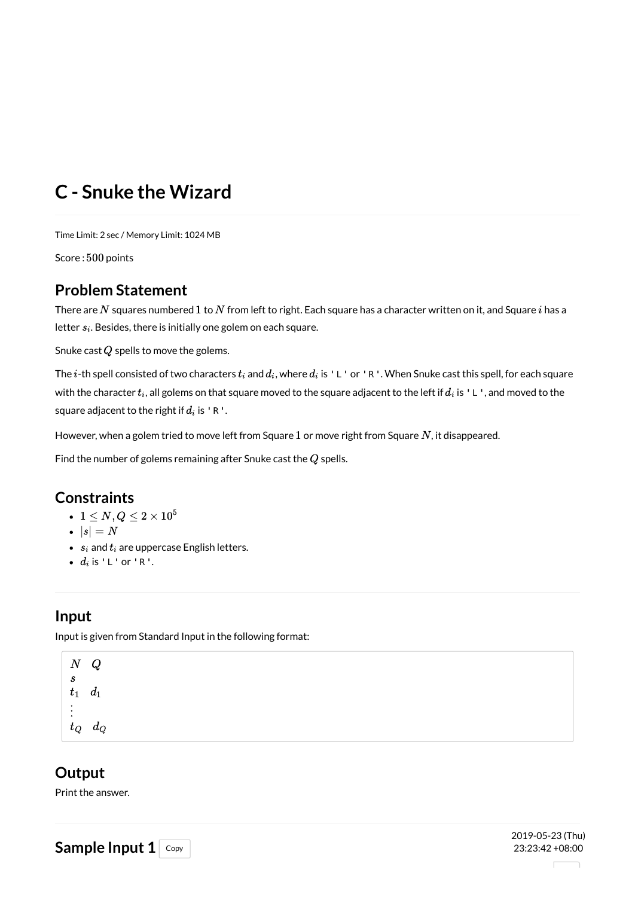# **C - Snuke the Wizard**

Time Limit: 2 sec / Memory Limit: 1024 MB

Score: 500 points

## **Problem Statement**

There are  $N$  squares numbered  $1$  to  $N$  from left to right. Each square has a character written on it, and Square  $i$  has a letter  $s_i$ . Besides, there is initially one golem on each square.

Snuke cast  $Q$  spells to move the golems.

The  $i$ -th spell consisted of two characters  $t_i$  and  $d_i$ , where  $d_i$  is <code>'L'or'R'. When Snuke cast this spell, for each square  $\,$ </code> with the character  $t_i$ , all golems on that square moved to the square adjacent to the left if  $d_i$  is <code>'L',</code> and moved to the square adjacent to the right if  $d_i$  is 'R'.

However, when a golem tried to move left from Square  $1$  or move right from Square  $N$ , it disappeared.

Find the number of golems remaining after Snuke cast the  $Q$  spells.

### **Constraints**

- $1 \leq N,Q \leq 2 \times 10^5$
- $\bullet$   $|s| = N$
- $s_i$  and  $t_i$  are uppercase English letters.
- $d_i$  is 'L' or 'R'.

# **Input**

Input is given from Standard Input in the following format:

N Q s  $t_1$   $d_1$ ⋮ $t_Q$  d<sub>Q</sub>

## **Output**

Print the answer.

Sample Input  $1$  Copy

2019-05-23 (Thu) 23:23:42 +08:00